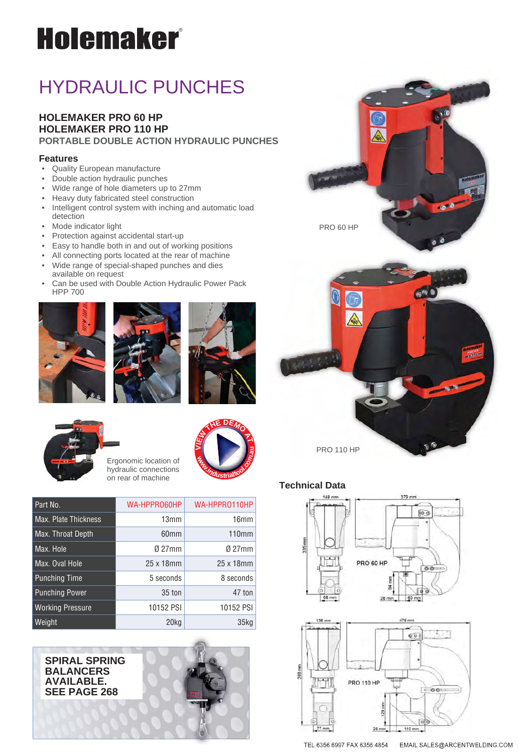# **Holemaker**®

# HYDRAULIC PUNCHES

#### **HOLEMAKER PRO 60 HP HOLEMAKER PRO 110 HP PORTABLE DOUBLE ACTION HYDRAULIC PUNCHES**

#### **Features**

- Quality European manufacture
- Double action hydraulic punches
- Wide range of hole diameters up to 27mm
- Heavy duty fabricated steel construction
- Intelligent control system with inching and automatic load detection
- Mode indicator light
- Protection against accidental start-up
- Easy to handle both in and out of working positions
- All connecting ports located at the rear of machine
- Wide range of special-shaped punches and dies available on request
- Can be used with Double Action Hydraulic Power Pack HPP 700







**<sup>w</sup>ww.industrialtool.com.<sup>a</sup>**

**I<sup>E</sup><sup>W</sup> <sup>T</sup>H<sup>E</sup> <sup>D</sup>EM<sup>O</sup> <sup>A</sup><sup>T</sup>**

**u**

 $\geq$ 







**SPIRAL SPRING BALANCERS AVAILABLE. SEE PAGE 268**





#### **Technical Data**





TEL 6356 6997 FAX 6356 4854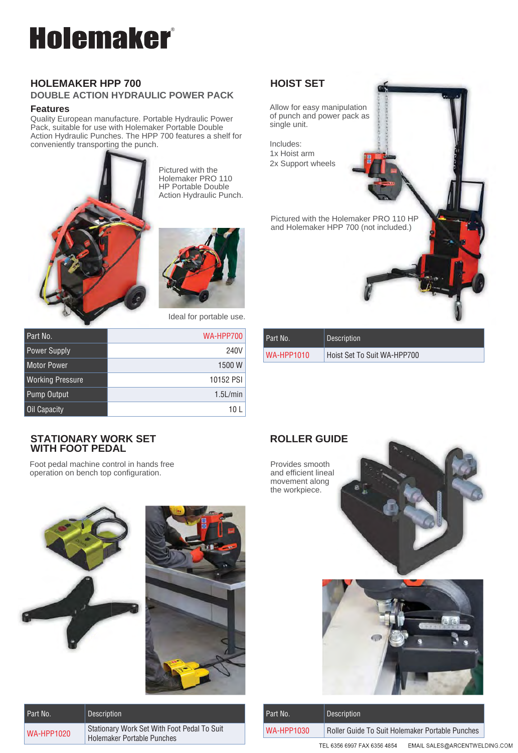# **Holemaker®**

#### **HOLEMAKER HPP 700 DOUBLE ACTION HYDRAULIC POWER PACK**

#### **Features**

Quality European manufacture. Portable Hydraulic Power Pack, suitable for use with Holemaker Portable Double Action Hydraulic Punches. The HPP 700 features a shelf for conveniently transporting the punch.



Pictured with the Holemaker PRO 110 HP Portable Double Action Hydraulic Punch.



Allow for easy manipulation of punch and power pack as p single unit. ack as<br>**Figures** 

Includes: 1x Hoist arm 2x Support wheels

Pictured with the Holemaker PRO 110 HP and Holemaker HPP 700 (not included.) 7

| Ideal for portable use. |  |  |  |  |
|-------------------------|--|--|--|--|
|-------------------------|--|--|--|--|

| Part No.                | <b>WA-HPP700</b> |
|-------------------------|------------------|
| <b>Power Supply</b>     | 240V             |
| <b>Motor Power</b>      | 1500 W           |
| <b>Working Pressure</b> | 10152 PSI        |
| Pump Output             | $1.5$ L/min      |
| Oil Capacity            |                  |

#### **STATIONARY WORK SET WITH FOOT PEDAL**

Foot pedal machine control in hands free operation on bench top configuration.





| Part No.          | Description                                                                      |
|-------------------|----------------------------------------------------------------------------------|
| <b>WA-HPP1020</b> | Stationary Work Set With Foot Pedal To Suit<br><b>Holemaker Portable Punches</b> |

| Part No.   | <b>Description</b>          |
|------------|-----------------------------|
| WA-HPP1010 | Hoist Set To Suit WA-HPP700 |

### **ROLLER GUIDE DE**



| Part No.   | <b>Description</b>                                           |  |
|------------|--------------------------------------------------------------|--|
| WA-HPP1030 | Roller Guide To Suit Holemaker Portable Punches              |  |
|            | TEL 6356 6997 FAX 6356 4854<br>EMAIL SALES@ARCENTWELDING.COM |  |